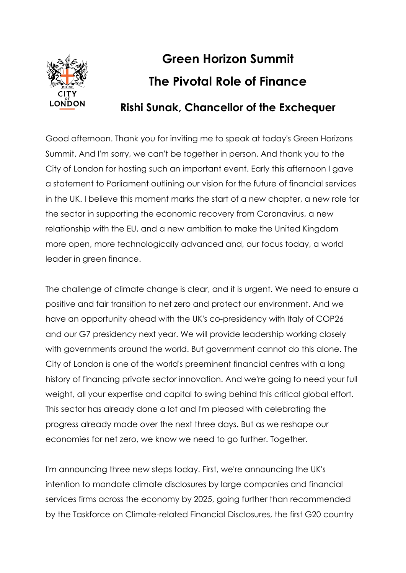

## **Green Horizon Summit The Pivotal Role of Finance**

## **Rishi Sunak, Chancellor of the Exchequer**

Good afternoon. Thank you for inviting me to speak at today's Green Horizons Summit. And I'm sorry, we can't be together in person. And thank you to the City of London for hosting such an important event. Early this afternoon I gave a statement to Parliament outlining our vision for the future of financial services in the UK. I believe this moment marks the start of a new chapter, a new role for the sector in supporting the economic recovery from Coronavirus, a new relationship with the EU, and a new ambition to make the United Kingdom more open, more technologically advanced and, our focus today, a world leader in green finance.

The challenge of climate change is clear, and it is urgent. We need to ensure a positive and fair transition to net zero and protect our environment. And we have an opportunity ahead with the UK's co-presidency with Italy of COP26 and our G7 presidency next year. We will provide leadership working closely with governments around the world. But government cannot do this alone. The City of London is one of the world's preeminent financial centres with a long history of financing private sector innovation. And we're going to need your full weight, all your expertise and capital to swing behind this critical global effort. This sector has already done a lot and I'm pleased with celebrating the progress already made over the next three days. But as we reshape our economies for net zero, we know we need to go further. Together.

I'm announcing three new steps today. First, we're announcing the UK's intention to mandate climate disclosures by large companies and financial services firms across the economy by 2025, going further than recommended by the Taskforce on Climate-related Financial Disclosures, the first G20 country